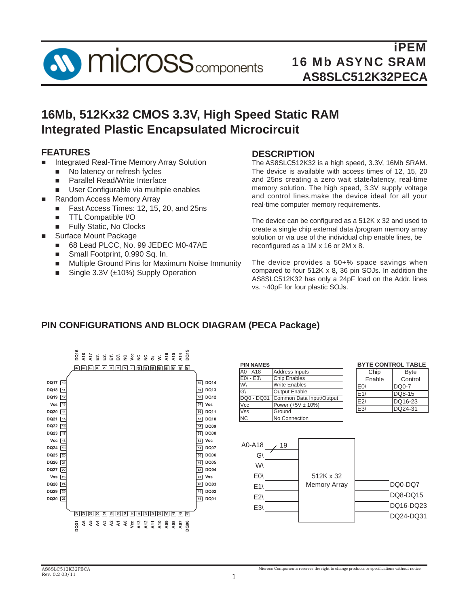

# **16Mb, 512Kx32 CMOS 3.3V, High Speed Static RAM Integrated Plastic Encapsulated Microcircuit**

## **FEATURES**

- Integrated Real-Time Memory Array Solution
	- No latency or refresh fycles
	- **Parallel Read/Write Interface**
	- **User Configurable via multiple enables**
	- Random Access Memory Array
	- Fast Access Times: 12, 15, 20, and 25ns
	- **TTL Compatible I/O**
	- **Fully Static, No Clocks**
- Surface Mount Package
	- 68 Lead PLCC, No. 99 JEDEC M0-47AE
	- Small Footprint, 0.990 Sq. In.
	- Multiple Ground Pins for Maximum Noise Immunity
	- Single  $3.3V$  ( $\pm$ 10%) Supply Operation

## **DESCRIPTION**

The AS8SLC512K32 is a high speed, 3.3V, 16Mb SRAM. The device is available with access times of 12, 15, 20 and 25ns creating a zero wait state/latency, real-time memory solution. The high speed, 3.3V supply voltage and control lines,make the device ideal for all your real-time computer memory requirements.

The device can be configured as a  $512K \times 32$  and used to create a single chip external data /program memory array solution or via use of the individual chip enable lines, be reconfigured as a  $1M \times 16$  or  $2M \times 8$ .

The device provides a 50+% space savings when compared to four 512K x 8, 36 pin SOJs. In addition the AS8SLC512K32 has only a 24pF load on the Addr. lines vs. ~40pF for four plastic SOJs.

# **PIN CONFIGURATIONS AND BLOCK DIAGRAM (PECA Package)**

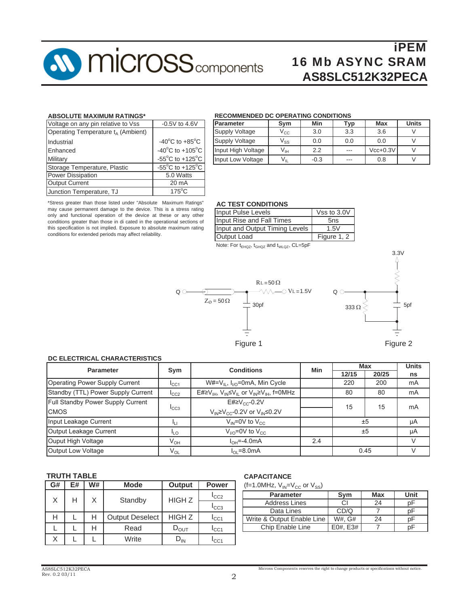

#### **ABSOLUTE MAXIMUM RATINGS\***

| Voltage on any pin relative to Vss             | $-0.5V$ to 4.6V                                       |
|------------------------------------------------|-------------------------------------------------------|
| Operating Temperature t <sub>A</sub> (Ambient) |                                                       |
| Industrial                                     | $-40^{\circ}$ C to $+85^{\circ}$ C                    |
| Enhanced                                       | -40 $^{\circ}$ C to +105 $^{\circ}$ C                 |
| Military                                       | -55 $\mathrm{^{\circ}C}$ to +125 $\mathrm{^{\circ}C}$ |
| Storage Temperature, Plastic                   | $-55^{\circ}$ C to $+125^{\circ}$ C                   |
| <b>Power Dissipation</b>                       | 5.0 Watts                                             |
| <b>Output Current</b>                          | 20 mA                                                 |
| Junction Temperature, TJ                       | $175^{\circ}$ C                                       |

#### **RECOMMENDED DC OPERATING CONDITIONS**

| Parameter             | Sym                        | Min    | Typ | Max        | <b>Units</b> |
|-----------------------|----------------------------|--------|-----|------------|--------------|
| <b>Supply Voltage</b> | $\mathsf{v}_{\mathsf{cc}}$ | 3.0    | 3.3 | 3.6        |              |
| <b>Supply Voltage</b> | V <sub>ss</sub>            | 0.0    | 0.0 | 0.0        |              |
| Input High Voltage    | Vıн                        | 2.2    | --- | $Vcc+0.3V$ |              |
| Input Low Voltage     | $\mathsf{V}_{\mathsf{IL}}$ | $-0.3$ | --- | 0.8        |              |

\*Stress greater than those listed under "Absolute Maximum Ratings" may cause permanent damage to the device. This is a stress rating only and functional operation of the device at these or any other conditions greater than those in di cated in the operational sections of this specification is not implied. Exposure to absolute maximum rating conditions for extended periods may affect reliability.

#### **AC TEST CONDITIONS**

| Input Pulse Levels             | Vss to 3.0V |
|--------------------------------|-------------|
| Input Rise and Fall Times      | 5ns         |
| Input and Output Timing Levels | 1.5V        |
| Output Load                    | Figure 1, 2 |

Note: For  $t_{EHQZ}$ ,  $t_{GHQZ}$  and  $t_{WLQZ}$ , CL=5pF





#### Figure 1 Figure 2

#### **DC ELECTRICAL CHARACTERISTICS**

| <b>Parameter</b>                   | Sym             | <b>Conditions</b>                                         | Min | Max   | <b>Units</b> |    |
|------------------------------------|-----------------|-----------------------------------------------------------|-----|-------|--------------|----|
|                                    |                 |                                                           |     | 12/15 | 20/25        | ns |
| Operating Power Supply Current     | ICC1            | $W#=V_{\parallel}$ , $I_{\parallel O}$ =0mA, Min Cycle    |     | 220   | 200          | mA |
| Standby (TTL) Power Supply Current | ICC2            | $E#≥V_{IH}$ , $V_{IN}≤V_{IL}$ or $V_{IN}≥V_{IH}$ , f=0MHz |     | 80    | 80           | mA |
| Full Standby Power Supply Current  |                 | $E#2V_{CC}$ -0.2V                                         |     | 15    | 15           | mA |
| <b>CMOS</b>                        | ICC3            | $V_{IN} \geq V_{CC}$ -0.2V or $V_{IN} \leq 0.2V$          |     |       |              |    |
| Input Leakage Current              |                 | $V_{IN} = 0V$ to $V_{CC}$                                 |     |       | ±5           | μA |
| Output Leakage Current             | <sup>I</sup> LO | $V_{VQ} = 0V$ to $V_{CC}$                                 |     |       | ±5           | μA |
| Ouput High Voltage                 | $V_{OH}$        | $I_{OH} = -4.0$ mA                                        | 2.4 |       |              |    |
| Output Low Voltage                 | V <sub>OL</sub> | $I_{\Omega}$ = 8.0 mA                                     |     |       | 0.45         |    |

#### **TRUTH TABLE**

| G# | E# | W# | <b>Mode</b>            | Output                      | <b>Power</b>  |
|----|----|----|------------------------|-----------------------------|---------------|
| X  | н  | X  | Standby                | <b>HIGHZ</b>                | $I_{CC2}$     |
|    |    |    |                        |                             | $I_{CC3}$     |
| Н  |    |    | <b>Output Deselect</b> | <b>HIGHZ</b>                | $I_{CC1}$     |
|    |    |    | Read                   | $\mathsf{D}_{\mathsf{OUT}}$ | $I_{\rm CC1}$ |
| Χ  |    |    | Write                  |                             | ICC1          |

### **CAPACITANCE**

(f=1.0MHz,  $V_{IN} = V_{CC}$  or  $V_{SS}$ )

| <b>Parameter</b>           | Svm    | <b>Max</b> | Unit |
|----------------------------|--------|------------|------|
| <b>Address Lines</b>       |        | 24         |      |
| Data Lines                 | CD/Q   |            |      |
| Write & Output Enable Line | W#. G# | 24         |      |
| Chip Enable Line           | F3#    |            |      |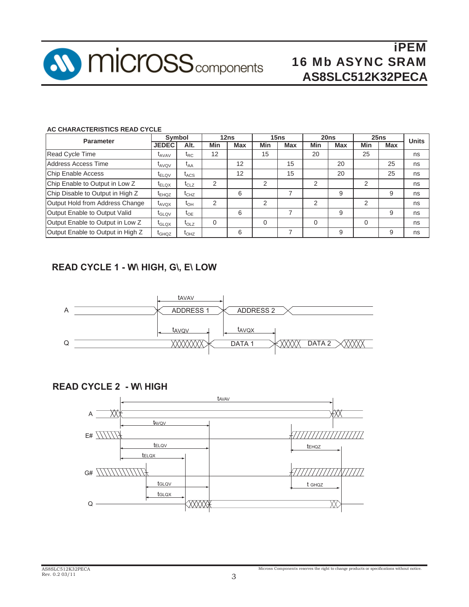

#### **AC CHARACTERISTICS READ CYCLE**

| <b>Parameter</b>                  | Symbol                       |                                                 | 12ns     |            | 15ns |            | 20ns     |            | 25ns |     | <b>Units</b> |
|-----------------------------------|------------------------------|-------------------------------------------------|----------|------------|------|------------|----------|------------|------|-----|--------------|
|                                   | <b>JEDEC</b>                 | Alt.                                            | Min      | <b>Max</b> | Min  | <b>Max</b> | Min      | <b>Max</b> | Min  | Max |              |
| Read Cycle Time                   | $I_{AVAV}$                   | $\frak{r}_{\sf RC}$                             | 12       |            | 15   |            | 20       |            | 25   |     | ns           |
| Address Access Time               | LAVOV                        | t <sub>АА</sub>                                 |          | 12         |      | 15         |          | 20         |      | 25  | ns           |
| Chip Enable Access                | <sup>L</sup> ELQV            | $\mathfrak{r}_{\text{ACS}}$                     |          | 12         |      | 15         |          | 20         |      | 25  | ns           |
| Chip Enable to Output in Low Z    | <sup>L</sup> ELQX            | $\mathfrak{r}_{\text{CLZ}}$                     | 2        |            | 2    |            | 2        |            | 2    |     | ns           |
| Chip Disable to Output in High Z  | $\tau_{EHQZ}$                | $\mathfrak{r}_{\rm CHZ}$                        |          | 6          |      |            |          | 9          |      | 9   | ns           |
| Output Hold from Address Change   | $\tau_{AVOX}$                | $\mathfrak{r}_{\mathsf{OH}}$                    | 2        |            | 2    |            | 2        |            | 2    |     | ns           |
| Output Enable to Output Valid     | <sup>L</sup> GLQV            | $\tau_{OE}$                                     |          | 6          |      |            |          | 9          |      | 9   | ns           |
| Output Enable to Output in Low Z  | $I_{\text{GLOX}}$            | $\mathfrak{r}_{\text{OLZ}}$                     | $\Omega$ |            |      |            | $\Omega$ |            | 0    |     | ns           |
| Output Enable to Output in High Z | $\mathfrak{r}_{\text{GHQZ}}$ | $\mathfrak{r}_{\mathsf{O}\mathsf{H}\mathsf{Z}}$ |          | 6          |      |            |          | 9          |      | 9   | ns           |

# **READ CYCLE 1 - W\ HIGH, G\, E\ LOW**



## **READ CYCLE 2 - W\ HIGH**

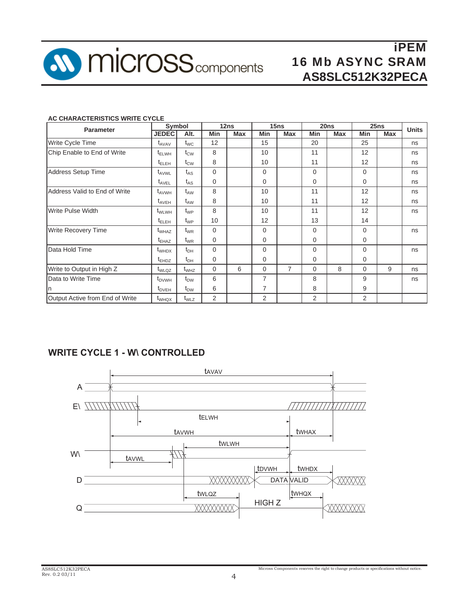

#### **AC CHARACTERISTICS WRITE CYCLE**

| <b>Parameter</b>                | Symbol                       |                 | 12ns           |     | 15ns           |            | 20ns        |            | 25ns     |            | <b>Units</b> |
|---------------------------------|------------------------------|-----------------|----------------|-----|----------------|------------|-------------|------------|----------|------------|--------------|
|                                 | <b>JEDEC</b>                 | Alt.            | Min            | Max | Min            | <b>Max</b> | Min         | <b>Max</b> | Min      | <b>Max</b> |              |
| Write Cycle Time                | $\mathsf{t}_{\mathsf{AVAV}}$ | $t_{\text{WC}}$ | 12             |     | 15             |            | 20          |            | 25       |            | ns           |
| Chip Enable to End of Write     | $t_{\text{ELWH}}$            | $t_{\text{CW}}$ | 8              |     | 10             |            | 11          |            | 12       |            | ns           |
|                                 | $t_{\text{ELEH}}$            | $t_{\text{CW}}$ | 8              |     | 10             |            | 11          |            | 12       |            | ns           |
| Address Setup Time              | t <sub>AVWL</sub>            | $t_{AS}$        | $\Omega$       |     | $\Omega$       |            | $\Omega$    |            | $\Omega$ |            | ns           |
|                                 | $t_{\text{AVEL}}$            | $t_{AS}$        | 0              |     | $\Omega$       |            | $\mathbf 0$ |            | 0        |            | ns           |
| Address Valid to End of Write   | $t_{AVWH}$                   | $t_{AW}$        | 8              |     | 10             |            | 11          |            | 12       |            | ns           |
|                                 | $t_{AVEH}$                   | $t_{AW}$        | 8              |     | 10             |            | 11          |            | 12       |            | ns           |
| <b>Write Pulse Width</b>        | t <sub>WLWH</sub>            | $t_{WP}$        | 8              |     | 10             |            | 11          |            | 12       |            | ns           |
|                                 | $t_{\text{ELEH}}$            | $t_{WP}$        | 10             |     | 12             |            | 13          |            | 14       |            |              |
| <b>Write Recovery Time</b>      | $t_{\text{WHAZ}}$            | $t_{WR}$        | $\Omega$       |     | $\Omega$       |            | $\Omega$    |            | 0        |            | ns           |
|                                 | $\tau_{EHAZ}$                | $t_{WR}$        | 0              |     | $\mathbf 0$    |            | $\mathbf 0$ |            | 0        |            |              |
| Data Hold Time                  | $t_{WHDX}$                   | $t_{DH}$        | 0              |     | $\Omega$       |            | $\Omega$    |            | 0        |            | ns           |
|                                 | $t_{EHDZ}$                   | $t_{DH}$        | 0              |     | $\mathbf 0$    |            | $\mathbf 0$ |            | 0        |            |              |
| Write to Output in High Z       | t <sub>WLQZ</sub>            | $t_{WHZ}$       | 0              | 6   | $\mathbf 0$    | 7          | 0           | 8          | 0        | 9          | ns           |
| Data to Write Time              | $\tau_{\text{DVMH}}$         | $t_{DW}$        | 6              |     | 7              |            | 8           |            | 9        |            | ns           |
|                                 | $t_{DVEH}$                   | $t_{DW}$        | 6              |     | 7              |            | 8           |            | 9        |            |              |
| Output Active from End of Write | t <sub>WHQX</sub>            | $t_{WLZ}$       | $\overline{2}$ |     | $\overline{2}$ |            | 2           |            | 2        |            |              |

## **WRITE CYCLE 1 - W\ CONTROLLED**

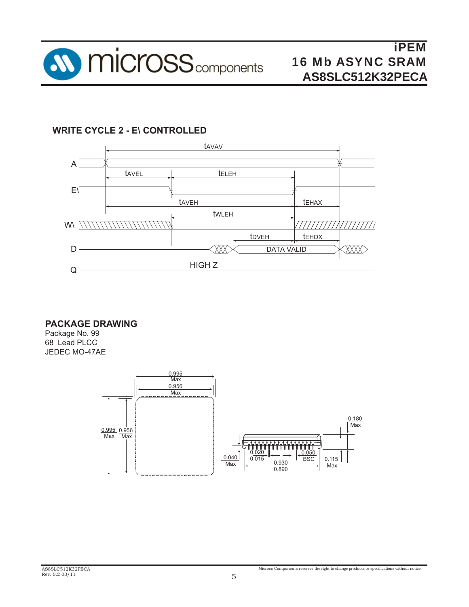

# **WRITE CYCLE 2 - E\ CON TROLLED**



**PACKAGE DRAWING** 

Package No. 99 68 Lead PLCC JEDEC MO-47AE

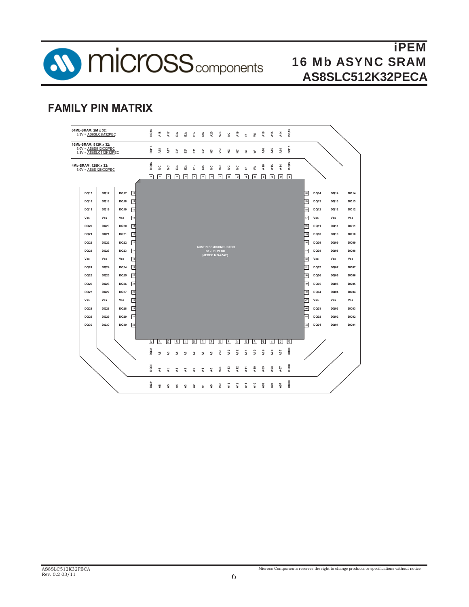

# **FAMILY PIN MATRIX**



Micross Components reserves the right to change products or specifications without notice.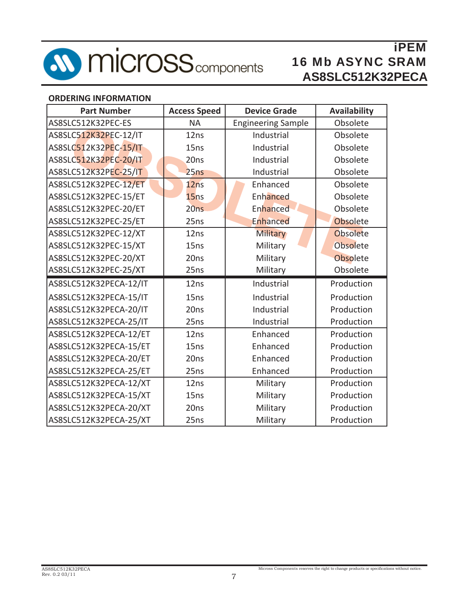

### **ORDERING INFORMATION**

| <b>Part Number</b>     | <b>Access Speed</b> | <b>Device Grade</b>       | <b>Availability</b> |
|------------------------|---------------------|---------------------------|---------------------|
| AS8SLC512K32PEC-ES     | <b>NA</b>           | <b>Engineering Sample</b> | Obsolete            |
| AS8SLC512K32PEC-12/IT  | 12ns                | Industrial                | Obsolete            |
| AS8SLC512K32PEC-15/IT  | 15ns                | Industrial                | Obsolete            |
| AS8SLC512K32PEC-20/IT  | 20ns                | Industrial                | Obsolete            |
| AS8SLC512K32PEC-25/IT  | 25ns                | Industrial                | Obsolete            |
| AS8SLC512K32PEC-12/ET  | 12ns                | Enhanced                  | Obsolete            |
| AS8SLC512K32PEC-15/ET  | 15ns                | Enhanced                  | Obsolete            |
| AS8SLC512K32PEC-20/ET  | 20ns                | Enhanced                  | Obsolete            |
| AS8SLC512K32PEC-25/ET  | 25ns                | Enhanced                  | Obsolete            |
| AS8SLC512K32PEC-12/XT  | 12ns                | <b>Military</b>           | Obsolete            |
| AS8SLC512K32PEC-15/XT  | 15ns                | Military                  | Obsolete            |
| AS8SLC512K32PEC-20/XT  | 20ns                | Military                  | Obsolete            |
| AS8SLC512K32PEC-25/XT  | 25ns                | Military                  | Obsolete            |
| AS8SLC512K32PECA-12/IT | 12ns                | Industrial                | Production          |
| AS8SLC512K32PECA-15/IT | 15 <sub>ns</sub>    | Industrial                | Production          |
| AS8SLC512K32PECA-20/IT | 20ns                | Industrial                | Production          |
| AS8SLC512K32PECA-25/IT | 25ns                | Industrial                | Production          |
| AS8SLC512K32PECA-12/ET | 12ns                | Enhanced                  | Production          |
| AS8SLC512K32PECA-15/ET | 15ns                | Enhanced                  | Production          |
| AS8SLC512K32PECA-20/ET | 20ns                | Enhanced                  | Production          |
| AS8SLC512K32PECA-25/ET | 25ns                | Enhanced                  | Production          |
| AS8SLC512K32PECA-12/XT | 12ns                | Military                  | Production          |
| AS8SLC512K32PECA-15/XT | 15ns                | Military                  | Production          |
| AS8SLC512K32PECA-20/XT | 20ns                | Military                  | Production          |
| AS8SLC512K32PECA-25/XT | 25ns                | Military                  | Production          |